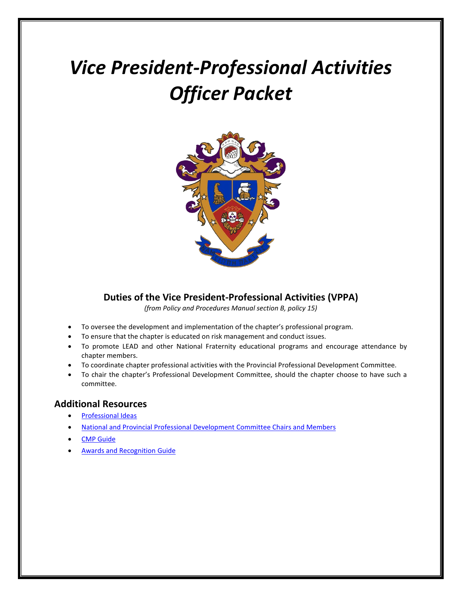# *Vice President-Professional Activities Officer Packet*



## **Duties of the Vice President-Professional Activities (VPPA)**

*(from Policy and Procedures Manual section B, policy 15)*

- To oversee the development and implementation of the chapter's professional program.
- To ensure that the chapter is educated on risk management and conduct issues.
- To promote LEAD and other National Fraternity educational programs and encourage attendance by chapter members.
- To coordinate chapter professional activities with the Provincial Professional Development Committee.
- To chair the chapter's Professional Development Committee, should the chapter choose to have such a committee.

## **Additional Resources**

- [Professional Ideas](https://www.deltasigmapi.org/docs/default-source/resources/handouts/profactivitieshandout.pdf)
- [National and Provincial Professional Development](https://www.deltasigmapi.org/chapter-locator) Committee Chairs and Members
- [CMP Guide](https://www.deltasigmapi.org/docs/default-source/Manuals/cmp.pdf)
- [Awards and Recognition Guide](https://www.deltasigmapi.org/docs/default-source/resources/awards_rec.pdf)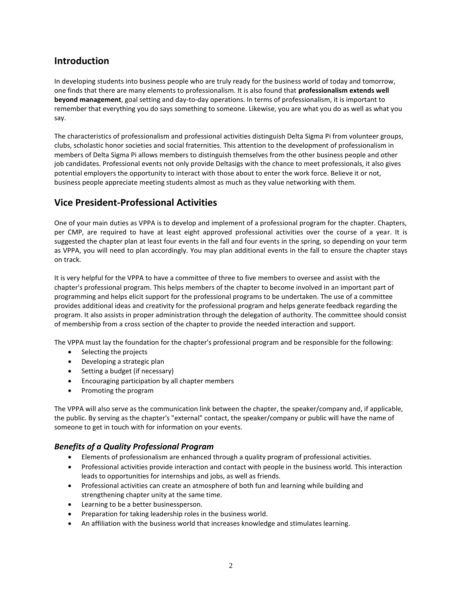# **Introduction**

In developing students into business people who are truly ready for the business world of today and tomorrow, one finds that there are many elements to professionalism. It is also found that **professionalism extends well beyond management**, goal setting and day-to-day operations. In terms of professionalism, it is important to remember that everything you do says something to someone. Likewise, you are what you do as well as what you say.

The characteristics of professionalism and professional activities distinguish Delta Sigma Pi from volunteer groups, clubs, scholastic honor societies and social fraternities. This attention to the development of professionalism in members of Delta Sigma Pi allows members to distinguish themselves from the other business people and other job candidates. Professional events not only provide Deltasigs with the chance to meet professionals, it also gives potential employers the opportunity to interact with those about to enter the work force. Believe it or not, business people appreciate meeting students almost as much as they value networking with them.

# **Vice President-Professional Activities**

One of your main duties as VPPA is to develop and implement of a professional program for the chapter. Chapters, per CMP, are required to have at least eight approved professional activities over the course of a year. It is suggested the chapter plan at least four events in the fall and four events in the spring, so depending on your term as VPPA, you will need to plan accordingly. You may plan additional events in the fall to ensure the chapter stays on track.

It is very helpful for the VPPA to have a committee of three to five members to oversee and assist with the chapter's professional program. This helps members of the chapter to become involved in an important part of programming and helps elicit support for the professional programs to be undertaken. The use of a committee provides additional ideas and creativity for the professional program and helps generate feedback regarding the program. It also assists in proper administration through the delegation of authority. The committee should consist of membership from a cross section of the chapter to provide the needed interaction and support.

The VPPA must lay the foundation for the chapter's professional program and be responsible for the following:

- Selecting the projects
- Developing a strategic plan
- Setting a budget (if necessary)
- **•** Encouraging participation by all chapter members
- Promoting the program

The VPPA will also serve as the communication link between the chapter, the speaker/company and, if applicable, the public. By serving as the chapter's "external" contact, the speaker/company or public will have the name of someone to get in touch with for information on your events.

## *Benefits of a Quality Professional Program*

- Elements of professionalism are enhanced through a quality program of professional activities.
- Professional activities provide interaction and contact with people in the business world. This interaction leads to opportunities for internships and jobs, as well as friends.
- Professional activities can create an atmosphere of both fun and learning while building and strengthening chapter unity at the same time.
- Learning to be a better businessperson.
- Preparation for taking leadership roles in the business world.
- An affiliation with the business world that increases knowledge and stimulates learning.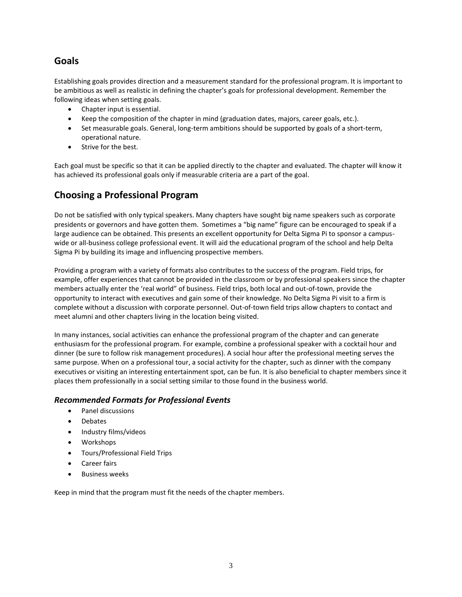# **Goals**

Establishing goals provides direction and a measurement standard for the professional program. It is important to be ambitious as well as realistic in defining the chapter's goals for professional development. Remember the following ideas when setting goals.

- Chapter input is essential.
- Keep the composition of the chapter in mind (graduation dates, majors, career goals, etc.).
- Set measurable goals. General, long-term ambitions should be supported by goals of a short-term, operational nature.
- Strive for the best.

Each goal must be specific so that it can be applied directly to the chapter and evaluated. The chapter will know it has achieved its professional goals only if measurable criteria are a part of the goal.

# **Choosing a Professional Program**

Do not be satisfied with only typical speakers. Many chapters have sought big name speakers such as corporate presidents or governors and have gotten them. Sometimes a "big name" figure can be encouraged to speak if a large audience can be obtained. This presents an excellent opportunity for Delta Sigma Pi to sponsor a campuswide or all-business college professional event. It will aid the educational program of the school and help Delta Sigma Pi by building its image and influencing prospective members.

Providing a program with a variety of formats also contributes to the success of the program. Field trips, for example, offer experiences that cannot be provided in the classroom or by professional speakers since the chapter members actually enter the 'real world" of business. Field trips, both local and out-of-town, provide the opportunity to interact with executives and gain some of their knowledge. No Delta Sigma Pi visit to a firm is complete without a discussion with corporate personnel. Out-of-town field trips allow chapters to contact and meet alumni and other chapters living in the location being visited.

In many instances, social activities can enhance the professional program of the chapter and can generate enthusiasm for the professional program. For example, combine a professional speaker with a cocktail hour and dinner (be sure to follow risk management procedures). A social hour after the professional meeting serves the same purpose. When on a professional tour, a social activity for the chapter, such as dinner with the company executives or visiting an interesting entertainment spot, can be fun. It is also beneficial to chapter members since it places them professionally in a social setting similar to those found in the business world.

## *Recommended Formats for Professional Events*

- Panel discussions
- Debates
- Industry films/videos
- Workshops
- Tours/Professional Field Trips
- Career fairs
- Business weeks

Keep in mind that the program must fit the needs of the chapter members.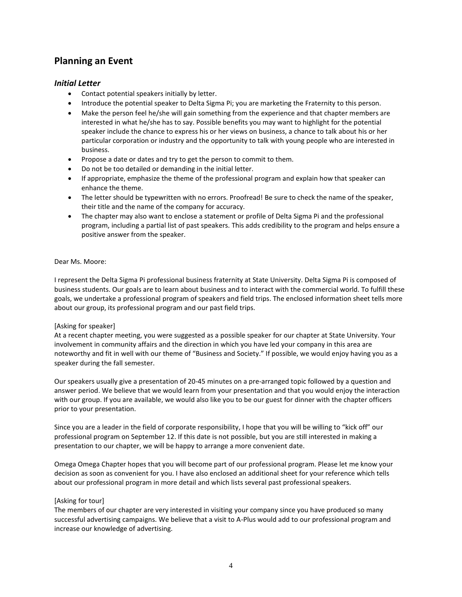# **Planning an Event**

## *Initial Letter*

- Contact potential speakers initially by letter.
- Introduce the potential speaker to Delta Sigma Pi; you are marketing the Fraternity to this person.
- Make the person feel he/she will gain something from the experience and that chapter members are interested in what he/she has to say. Possible benefits you may want to highlight for the potential speaker include the chance to express his or her views on business, a chance to talk about his or her particular corporation or industry and the opportunity to talk with young people who are interested in business.
- Propose a date or dates and try to get the person to commit to them.
- Do not be too detailed or demanding in the initial letter.
- If appropriate, emphasize the theme of the professional program and explain how that speaker can enhance the theme.
- The letter should be typewritten with no errors. Proofread! Be sure to check the name of the speaker, their title and the name of the company for accuracy.
- The chapter may also want to enclose a statement or profile of Delta Sigma Pi and the professional program, including a partial list of past speakers. This adds credibility to the program and helps ensure a positive answer from the speaker.

#### Dear Ms. Moore:

I represent the Delta Sigma Pi professional business fraternity at State University. Delta Sigma Pi is composed of business students. Our goals are to learn about business and to interact with the commercial world. To fulfill these goals, we undertake a professional program of speakers and field trips. The enclosed information sheet tells more about our group, its professional program and our past field trips.

#### [Asking for speaker]

At a recent chapter meeting, you were suggested as a possible speaker for our chapter at State University. Your involvement in community affairs and the direction in which you have led your company in this area are noteworthy and fit in well with our theme of "Business and Society." If possible, we would enjoy having you as a speaker during the fall semester.

Our speakers usually give a presentation of 20-45 minutes on a pre-arranged topic followed by a question and answer period. We believe that we would learn from your presentation and that you would enjoy the interaction with our group. If you are available, we would also like you to be our guest for dinner with the chapter officers prior to your presentation.

Since you are a leader in the field of corporate responsibility, I hope that you will be willing to "kick off" our professional program on September 12. If this date is not possible, but you are still interested in making a presentation to our chapter, we will be happy to arrange a more convenient date.

Omega Omega Chapter hopes that you will become part of our professional program. Please let me know your decision as soon as convenient for you. I have also enclosed an additional sheet for your reference which tells about our professional program in more detail and which lists several past professional speakers.

#### [Asking for tour]

The members of our chapter are very interested in visiting your company since you have produced so many successful advertising campaigns. We believe that a visit to A-Plus would add to our professional program and increase our knowledge of advertising.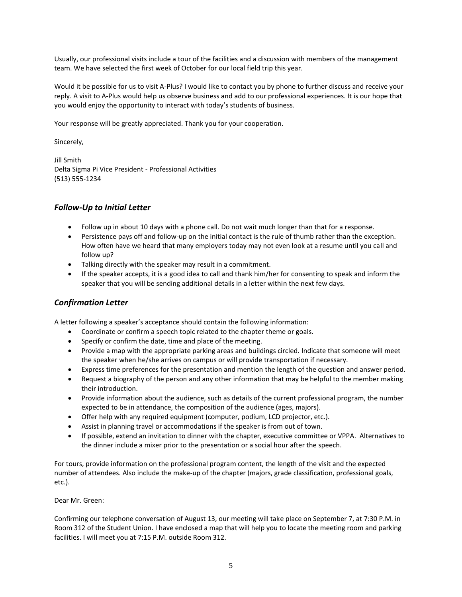Usually, our professional visits include a tour of the facilities and a discussion with members of the management team. We have selected the first week of October for our local field trip this year.

Would it be possible for us to visit A-Plus? I would like to contact you by phone to further discuss and receive your reply. A visit to A-Plus would help us observe business and add to our professional experiences. It is our hope that you would enjoy the opportunity to interact with today's students of business.

Your response will be greatly appreciated. Thank you for your cooperation.

Sincerely,

Jill Smith Delta Sigma Pi Vice President - Professional Activities (513) 555-1234

## *Follow-Up to Initial Letter*

- Follow up in about 10 days with a phone call. Do not wait much longer than that for a response.
- Persistence pays off and follow-up on the initial contact is the rule of thumb rather than the exception. How often have we heard that many employers today may not even look at a resume until you call and follow up?
- Talking directly with the speaker may result in a commitment.
- If the speaker accepts, it is a good idea to call and thank him/her for consenting to speak and inform the speaker that you will be sending additional details in a letter within the next few days.

## *Confirmation Letter*

A letter following a speaker's acceptance should contain the following information:

- Coordinate or confirm a speech topic related to the chapter theme or goals.
- Specify or confirm the date, time and place of the meeting.
- Provide a map with the appropriate parking areas and buildings circled. Indicate that someone will meet the speaker when he/she arrives on campus or will provide transportation if necessary.
- Express time preferences for the presentation and mention the length of the question and answer period.
- Request a biography of the person and any other information that may be helpful to the member making their introduction.
- Provide information about the audience, such as details of the current professional program, the number expected to be in attendance, the composition of the audience (ages, majors).
- Offer help with any required equipment (computer, podium, LCD projector, etc.).
- Assist in planning travel or accommodations if the speaker is from out of town.
- If possible, extend an invitation to dinner with the chapter, executive committee or VPPA. Alternatives to the dinner include a mixer prior to the presentation or a social hour after the speech.

For tours, provide information on the professional program content, the length of the visit and the expected number of attendees. Also include the make-up of the chapter (majors, grade classification, professional goals, etc.).

Dear Mr. Green:

Confirming our telephone conversation of August 13, our meeting will take place on September 7, at 7:30 P.M. in Room 312 of the Student Union. I have enclosed a map that will help you to locate the meeting room and parking facilities. I will meet you at 7:15 P.M. outside Room 312.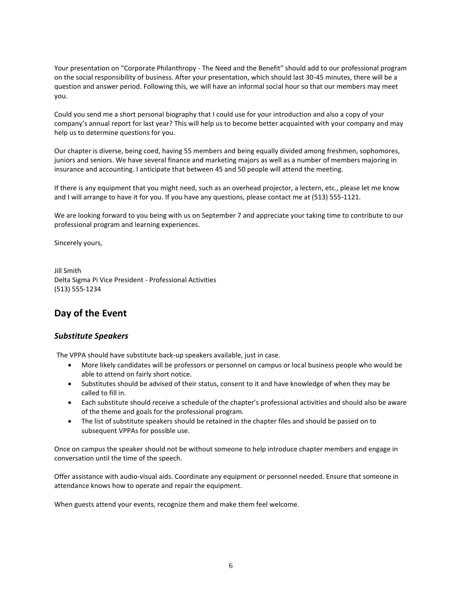Your presentation on "Corporate Philanthropy - The Need and the Benefit" should add to our professional program on the social responsibility of business. After your presentation, which should last 30-45 minutes, there will be a question and answer period. Following this, we will have an informal social hour so that our members may meet you.

Could you send me a short personal biography that I could use for your introduction and also a copy of your company's annual report for last year? This will help us to become better acquainted with your company and may help us to determine questions for you.

Our chapter is diverse, being coed, having 55 members and being equally divided among freshmen, sophomores, juniors and seniors. We have several finance and marketing majors as well as a number of members majoring in insurance and accounting. I anticipate that between 45 and 50 people will attend the meeting.

If there is any equipment that you might need, such as an overhead projector, a lectern, etc., please let me know and I will arrange to have it for you. If you have any questions, please contact me at (513) 555-1121.

We are looking forward to you being with us on September 7 and appreciate your taking time to contribute to our professional program and learning experiences.

Sincerely yours,

Jill Smith Delta Sigma Pi Vice President - Professional Activities (513) 555-1234

# **Day of the Event**

## *Substitute Speakers*

The VPPA should have substitute back-up speakers available, just in case.

- More likely candidates will be professors or personnel on campus or local business people who would be able to attend on fairly short notice.
- Substitutes should be advised of their status, consent to it and have knowledge of when they may be called to fill in.
- Each substitute should receive a schedule of the chapter's professional activities and should also be aware of the theme and goals for the professional program.
- The list of substitute speakers should be retained in the chapter files and should be passed on to subsequent VPPAs for possible use.

Once on campus the speaker should not be without someone to help introduce chapter members and engage in conversation until the time of the speech.

Offer assistance with audio-visual aids. Coordinate any equipment or personnel needed. Ensure that someone in attendance knows how to operate and repair the equipment.

When guests attend your events, recognize them and make them feel welcome.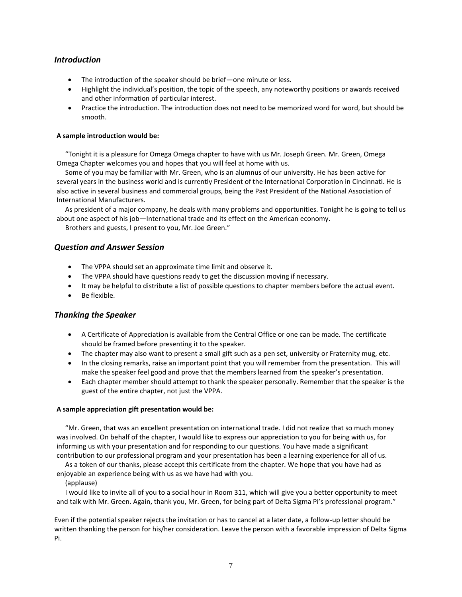## *Introduction*

- The introduction of the speaker should be brief—one minute or less.
- Highlight the individual's position, the topic of the speech, any noteworthy positions or awards received and other information of particular interest.
- Practice the introduction. The introduction does not need to be memorized word for word, but should be smooth.

#### **A sample introduction would be:**

 "Tonight it is a pleasure for Omega Omega chapter to have with us Mr. Joseph Green. Mr. Green, Omega Omega Chapter welcomes you and hopes that you will feel at home with us.

 Some of you may be familiar with Mr. Green, who is an alumnus of our university. He has been active for several years in the business world and is currently President of the International Corporation in Cincinnati. He is also active in several business and commercial groups, being the Past President of the National Association of International Manufacturers.

 As president of a major company, he deals with many problems and opportunities. Tonight he is going to tell us about one aspect of his job—International trade and its effect on the American economy.

Brothers and guests, I present to you, Mr. Joe Green."

#### *Question and Answer Session*

- The VPPA should set an approximate time limit and observe it.
- The VPPA should have questions ready to get the discussion moving if necessary.
- It may be helpful to distribute a list of possible questions to chapter members before the actual event.
- Be flexible.

## *Thanking the Speaker*

- A Certificate of Appreciation is available from the Central Office or one can be made. The certificate should be framed before presenting it to the speaker.
- The chapter may also want to present a small gift such as a pen set, university or Fraternity mug, etc.
- In the closing remarks, raise an important point that you will remember from the presentation. This will make the speaker feel good and prove that the members learned from the speaker's presentation.
- Each chapter member should attempt to thank the speaker personally. Remember that the speaker is the guest of the entire chapter, not just the VPPA.

#### **A sample appreciation gift presentation would be:**

 "Mr. Green, that was an excellent presentation on international trade. I did not realize that so much money was involved. On behalf of the chapter, I would like to express our appreciation to you for being with us, for informing us with your presentation and for responding to our questions. You have made a significant contribution to our professional program and your presentation has been a learning experience for all of us.

 As a token of our thanks, please accept this certificate from the chapter. We hope that you have had as enjoyable an experience being with us as we have had with you.

#### (applause)

 I would like to invite all of you to a social hour in Room 311, which will give you a better opportunity to meet and talk with Mr. Green. Again, thank you, Mr. Green, for being part of Delta Sigma Pi's professional program."

Even if the potential speaker rejects the invitation or has to cancel at a later date, a follow-up letter should be written thanking the person for his/her consideration. Leave the person with a favorable impression of Delta Sigma Pi.